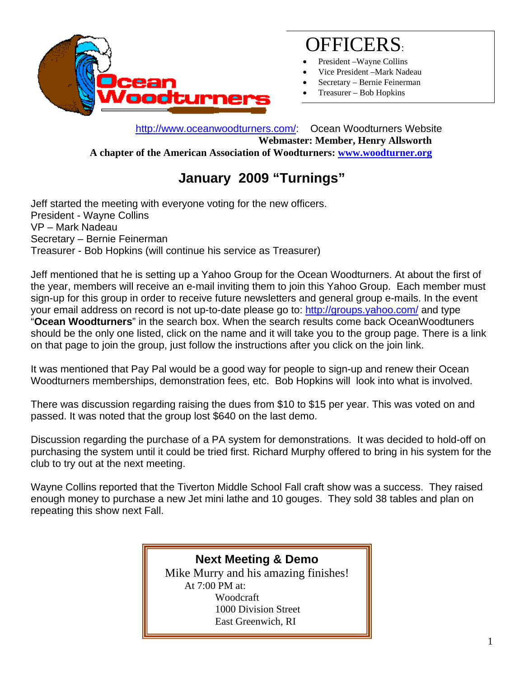

# OFFICERS:

- President –Wayne Collins
- Vice President –Mark Nadeau
- Secretary Bernie Feinerman
- Treasurer Bob Hopkins

 http://www.oceanwoodturners.com/: Ocean Woodturners Website **Webmaster: Member, Henry Allsworth A chapter of the American Association of Woodturners: www.woodturner.org** 

## **January 2009 "Turnings"**

Jeff started the meeting with everyone voting for the new officers. President - Wayne Collins VP – Mark Nadeau Secretary – Bernie Feinerman Treasurer - Bob Hopkins (will continue his service as Treasurer)

Jeff mentioned that he is setting up a Yahoo Group for the Ocean Woodturners. At about the first of the year, members will receive an e-mail inviting them to join this Yahoo Group. Each member must sign-up for this group in order to receive future newsletters and general group e-mails. In the event your email address on record is not up-to-date please go to: http://groups.yahoo.com/ and type "**Ocean Woodturners**" in the search box. When the search results come back OceanWoodtuners should be the only one listed, click on the name and it will take you to the group page. There is a link on that page to join the group, just follow the instructions after you click on the join link.

It was mentioned that Pay Pal would be a good way for people to sign-up and renew their Ocean Woodturners memberships, demonstration fees, etc. Bob Hopkins will look into what is involved.

There was discussion regarding raising the dues from \$10 to \$15 per year. This was voted on and passed. It was noted that the group lost \$640 on the last demo.

Discussion regarding the purchase of a PA system for demonstrations. It was decided to hold-off on purchasing the system until it could be tried first. Richard Murphy offered to bring in his system for the club to try out at the next meeting.

Wayne Collins reported that the Tiverton Middle School Fall craft show was a success. They raised enough money to purchase a new Jet mini lathe and 10 gouges. They sold 38 tables and plan on repeating this show next Fall.

#### **Next Meeting & Demo**

Mike Murry and his amazing finishes! At 7:00 PM at: Woodcraft 1000 Division Street East Greenwich, RI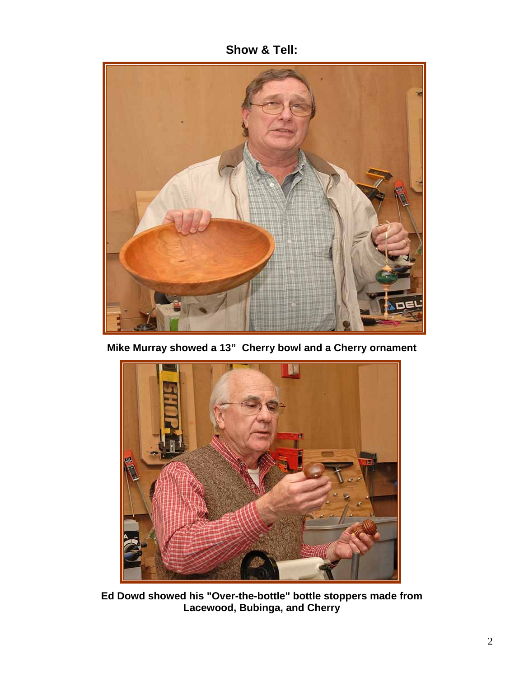**Show & Tell:**



**Mike Murray showed a 13" Cherry bowl and a Cherry ornament** 



**Ed Dowd showed his "Over-the-bottle" bottle stoppers made from Lacewood, Bubinga, and Cherry**